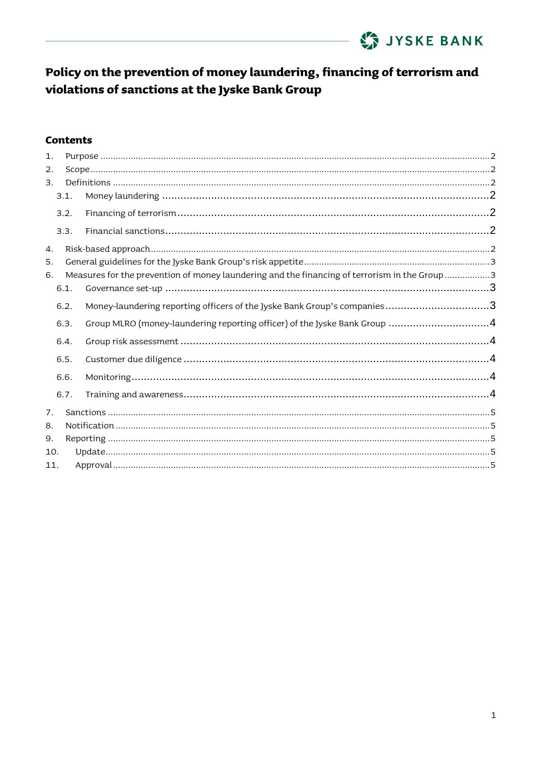

#### **Contents**

| 1.  |      |                                                                                               |  |
|-----|------|-----------------------------------------------------------------------------------------------|--|
| 2.  |      |                                                                                               |  |
| 3.  |      |                                                                                               |  |
|     | 3.1. |                                                                                               |  |
|     | 3.2. |                                                                                               |  |
|     | 3.3. |                                                                                               |  |
| 4.  |      |                                                                                               |  |
| 5.  |      |                                                                                               |  |
| 6.  |      | Measures for the prevention of money laundering and the financing of terrorism in the Group 3 |  |
|     | 6.1. |                                                                                               |  |
|     | 6.2. | Money-laundering reporting officers of the Jyske Bank Group's companies3                      |  |
|     | 6.3. | Group MLRO (money-laundering reporting officer) of the Jyske Bank Group 4                     |  |
|     | 6.4. |                                                                                               |  |
|     | 6.5. |                                                                                               |  |
|     | 6.6. |                                                                                               |  |
|     | 6.7. |                                                                                               |  |
| 7.  |      |                                                                                               |  |
| 8.  |      |                                                                                               |  |
| 9.  |      |                                                                                               |  |
| 10. |      |                                                                                               |  |
| 11. |      |                                                                                               |  |
|     |      |                                                                                               |  |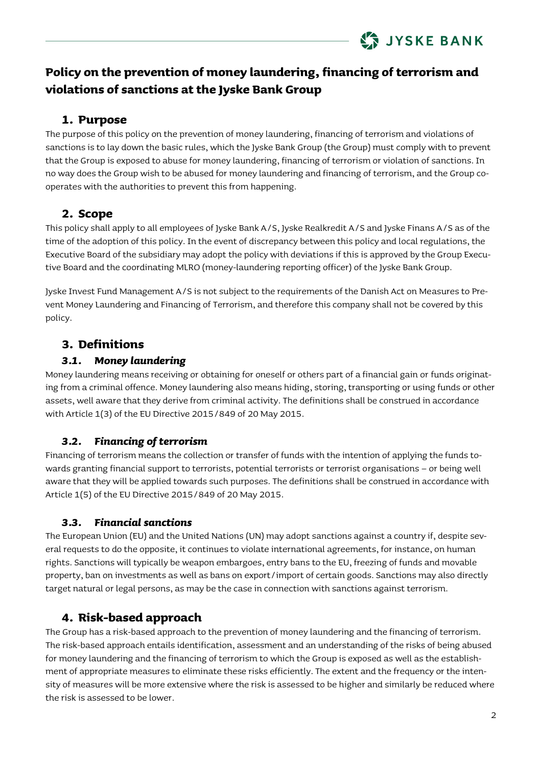

### **1. Purpose**

<span id="page-1-0"></span>The purpose of this policy on the prevention of money laundering, financing of terrorism and violations of sanctions is to lay down the basic rules, which the Jyske Bank Group (the Group) must comply with to prevent that the Group is exposed to abuse for money laundering, financing of terrorism or violation of sanctions. In no way does the Group wish to be abused for money laundering and financing of terrorism, and the Group cooperates with the authorities to prevent this from happening.

## <span id="page-1-1"></span>**2. Scope**

This policy shall apply to all employees of Jyske Bank A/S, Jyske Realkredit A/S and Jyske Finans A/S as of the time of the adoption of this policy. In the event of discrepancy between this policy and local regulations, the Executive Board of the subsidiary may adopt the policy with deviations if this is approved by the Group Executive Board and the coordinating MLRO (money-laundering reporting officer) of the Jyske Bank Group.

Jyske Invest Fund Management A/S is not subject to the requirements of the Danish Act on Measures to Prevent Money Laundering and Financing of Terrorism, and therefore this company shall not be covered by this policy.

## <span id="page-1-2"></span>**3. Definitions**

#### *3.1. Money laundering*

<span id="page-1-3"></span>Money laundering means receiving or obtaining for oneself or others part of a financial gain or funds originating from a criminal offence. Money laundering also means hiding, storing, transporting or using funds or other assets, well aware that they derive from criminal activity. The definitions shall be construed in accordance with Article 1(3) of the EU Directive 2015/849 of 20 May 2015.

### *3.2. Financing of terrorism*

<span id="page-1-4"></span>Financing of terrorism means the collection or transfer of funds with the intention of applying the funds towards granting financial support to terrorists, potential terrorists or terrorist organisations – or being well aware that they will be applied towards such purposes. The definitions shall be construed in accordance with Article 1(5) of the EU Directive 2015/849 of 20 May 2015.

### *3.3. Financial sanctions*

<span id="page-1-5"></span>The European Union (EU) and the United Nations (UN) may adopt sanctions against a country if, despite several requests to do the opposite, it continues to violate international agreements, for instance, on human rights. Sanctions will typically be weapon embargoes, entry bans to the EU, freezing of funds and movable property, ban on investments as well as bans on export/import of certain goods. Sanctions may also directly target natural or legal persons, as may be the case in connection with sanctions against terrorism.

## <span id="page-1-6"></span>**4. Risk-based approach**

The Group has a risk-based approach to the prevention of money laundering and the financing of terrorism. The risk-based approach entails identification, assessment and an understanding of the risks of being abused for money laundering and the financing of terrorism to which the Group is exposed as well as the establishment of appropriate measures to eliminate these risks efficiently. The extent and the frequency or the intensity of measures will be more extensive where the risk is assessed to be higher and similarly be reduced where the risk is assessed to be lower.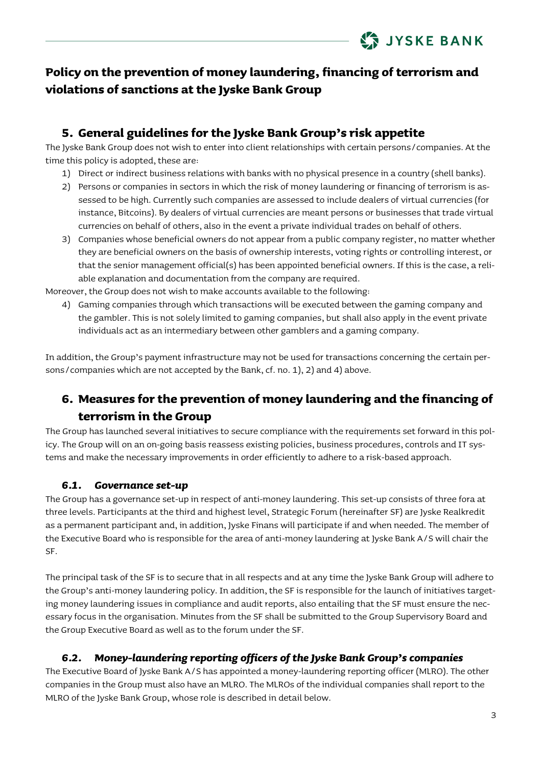## <span id="page-2-0"></span>**5. General guidelines for the Jyske Bank Group's risk appetite**

The Jyske Bank Group does not wish to enter into client relationships with certain persons/companies. At the time this policy is adopted, these are:

- 1) Direct or indirect business relations with banks with no physical presence in a country (shell banks).
- 2) Persons or companies in sectors in which the risk of money laundering or financing of terrorism is assessed to be high. Currently such companies are assessed to include dealers of virtual currencies (for instance, Bitcoins). By dealers of virtual currencies are meant persons or businesses that trade virtual currencies on behalf of others, also in the event a private individual trades on behalf of others.
- 3) Companies whose beneficial owners do not appear from a public company register, no matter whether they are beneficial owners on the basis of ownership interests, voting rights or controlling interest, or that the senior management official(s) has been appointed beneficial owners. If this is the case, a reliable explanation and documentation from the company are required.

Moreover, the Group does not wish to make accounts available to the following:

4) Gaming companies through which transactions will be executed between the gaming company and the gambler. This is not solely limited to gaming companies, but shall also apply in the event private individuals act as an intermediary between other gamblers and a gaming company.

In addition, the Group's payment infrastructure may not be used for transactions concerning the certain persons/companies which are not accepted by the Bank, cf. no. 1), 2) and 4) above.

## <span id="page-2-1"></span>**6. Measures for the prevention of money laundering and the financing of terrorism in the Group**

The Group has launched several initiatives to secure compliance with the requirements set forward in this policy. The Group will on an on-going basis reassess existing policies, business procedures, controls and IT systems and make the necessary improvements in order efficiently to adhere to a risk-based approach.

#### *6.1. Governance set-up*

<span id="page-2-2"></span>The Group has a governance set-up in respect of anti-money laundering. This set-up consists of three fora at three levels. Participants at the third and highest level, Strategic Forum (hereinafter SF) are Jyske Realkredit as a permanent participant and, in addition, Jyske Finans will participate if and when needed. The member of the Executive Board who is responsible for the area of anti-money laundering at Jyske Bank A/S will chair the SF.

The principal task of the SF is to secure that in all respects and at any time the Jyske Bank Group will adhere to the Group's anti-money laundering policy. In addition, the SF is responsible for the launch of initiatives targeting money laundering issues in compliance and audit reports, also entailing that the SF must ensure the necessary focus in the organisation. Minutes from the SF shall be submitted to the Group Supervisory Board and the Group Executive Board as well as to the forum under the SF.

#### *6.2. Money-laundering reporting officers of the Jyske Bank Group's companies*

<span id="page-2-3"></span>The Executive Board of Jyske Bank A/S has appointed a money-laundering reporting officer (MLRO). The other companies in the Group must also have an MLRO. The MLROs of the individual companies shall report to the MLRO of the Jyske Bank Group, whose role is described in detail below.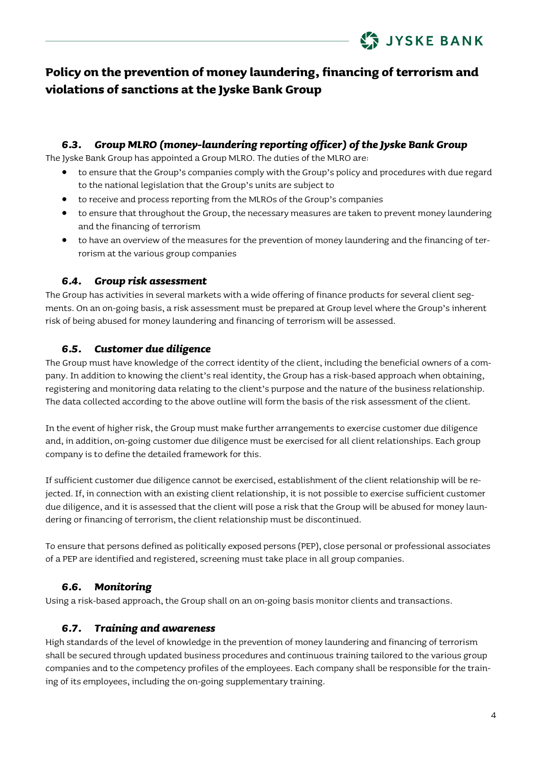

#### *6.3. Group MLRO (money-laundering reporting officer) of the Jyske Bank Group*

<span id="page-3-0"></span>The Jyske Bank Group has appointed a Group MLRO. The duties of the MLRO are:

- to ensure that the Group's companies comply with the Group's policy and procedures with due regard to the national legislation that the Group's units are subject to
- to receive and process reporting from the MLROs of the Group's companies
- to ensure that throughout the Group, the necessary measures are taken to prevent money laundering and the financing of terrorism
- to have an overview of the measures for the prevention of money laundering and the financing of terrorism at the various group companies

#### *6.4. Group risk assessment*

<span id="page-3-1"></span>The Group has activities in several markets with a wide offering of finance products for several client segments. On an on-going basis, a risk assessment must be prepared at Group level where the Group's inherent risk of being abused for money laundering and financing of terrorism will be assessed.

#### *6.5. Customer due diligence*

<span id="page-3-2"></span>The Group must have knowledge of the correct identity of the client, including the beneficial owners of a company. In addition to knowing the client's real identity, the Group has a risk-based approach when obtaining, registering and monitoring data relating to the client's purpose and the nature of the business relationship. The data collected according to the above outline will form the basis of the risk assessment of the client.

In the event of higher risk, the Group must make further arrangements to exercise customer due diligence and, in addition, on-going customer due diligence must be exercised for all client relationships. Each group company is to define the detailed framework for this.

If sufficient customer due diligence cannot be exercised, establishment of the client relationship will be rejected. If, in connection with an existing client relationship, it is not possible to exercise sufficient customer due diligence, and it is assessed that the client will pose a risk that the Group will be abused for money laundering or financing of terrorism, the client relationship must be discontinued.

To ensure that persons defined as politically exposed persons (PEP), close personal or professional associates of a PEP are identified and registered, screening must take place in all group companies.

#### *6.6. Monitoring*

<span id="page-3-3"></span>Using a risk-based approach, the Group shall on an on-going basis monitor clients and transactions.

#### *6.7. Training and awareness*

<span id="page-3-4"></span>High standards of the level of knowledge in the prevention of money laundering and financing of terrorism shall be secured through updated business procedures and continuous training tailored to the various group companies and to the competency profiles of the employees. Each company shall be responsible for the training of its employees, including the on-going supplementary training.